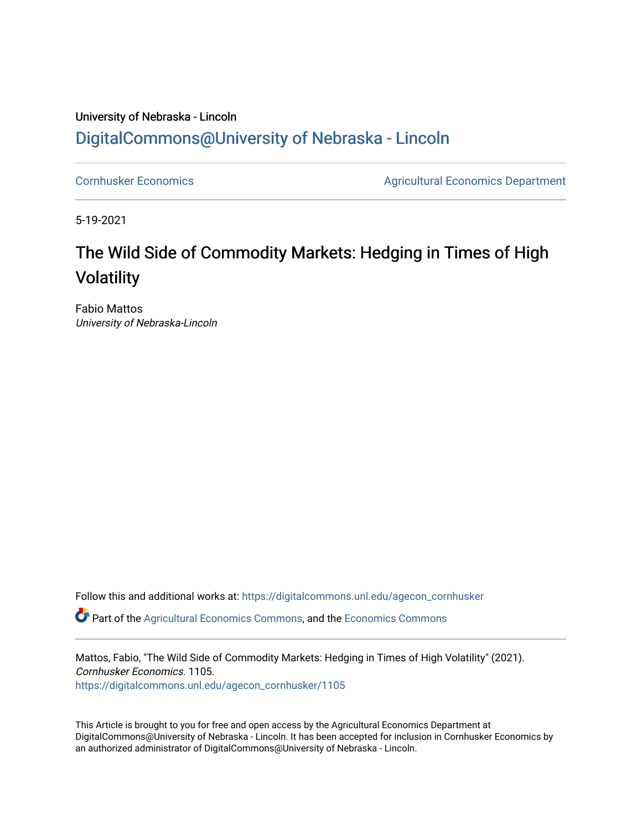### University of Nebraska - Lincoln [DigitalCommons@University of Nebraska - Lincoln](https://digitalcommons.unl.edu/)

[Cornhusker Economics](https://digitalcommons.unl.edu/agecon_cornhusker) **Agricultural Economics** Department

5-19-2021

# The Wild Side of Commodity Markets: Hedging in Times of High Volatility

Fabio Mattos University of Nebraska-Lincoln

Follow this and additional works at: [https://digitalcommons.unl.edu/agecon\\_cornhusker](https://digitalcommons.unl.edu/agecon_cornhusker?utm_source=digitalcommons.unl.edu%2Fagecon_cornhusker%2F1105&utm_medium=PDF&utm_campaign=PDFCoverPages)  Part of the [Agricultural Economics Commons,](http://network.bepress.com/hgg/discipline/1225?utm_source=digitalcommons.unl.edu%2Fagecon_cornhusker%2F1105&utm_medium=PDF&utm_campaign=PDFCoverPages) and the [Economics Commons](http://network.bepress.com/hgg/discipline/340?utm_source=digitalcommons.unl.edu%2Fagecon_cornhusker%2F1105&utm_medium=PDF&utm_campaign=PDFCoverPages) 

Mattos, Fabio, "The Wild Side of Commodity Markets: Hedging in Times of High Volatility" (2021). Cornhusker Economics. 1105. [https://digitalcommons.unl.edu/agecon\\_cornhusker/1105](https://digitalcommons.unl.edu/agecon_cornhusker/1105?utm_source=digitalcommons.unl.edu%2Fagecon_cornhusker%2F1105&utm_medium=PDF&utm_campaign=PDFCoverPages)

This Article is brought to you for free and open access by the Agricultural Economics Department at DigitalCommons@University of Nebraska - Lincoln. It has been accepted for inclusion in Cornhusker Economics by an authorized administrator of DigitalCommons@University of Nebraska - Lincoln.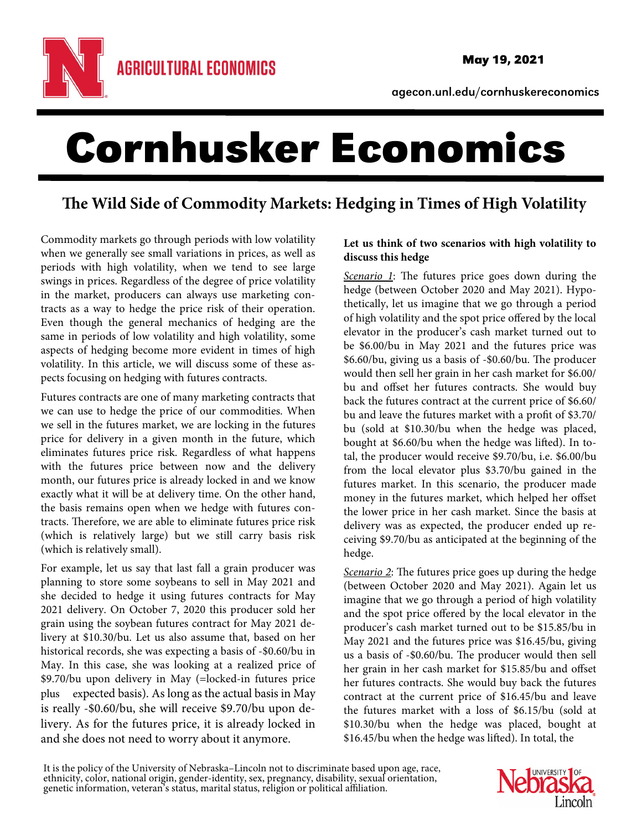

agecon.unl.edu/cornhuskereconomics

# Cornhusker Economics

## **The Wild Side of Commodity Markets: Hedging in Times of High Volatility**

Commodity markets go through periods with low volatility when we generally see small variations in prices, as well as periods with high volatility, when we tend to see large swings in prices. Regardless of the degree of price volatility in the market, producers can always use marketing contracts as a way to hedge the price risk of their operation. Even though the general mechanics of hedging are the same in periods of low volatility and high volatility, some aspects of hedging become more evident in times of high volatility. In this article, we will discuss some of these aspects focusing on hedging with futures contracts.

Futures contracts are one of many marketing contracts that we can use to hedge the price of our commodities. When we sell in the futures market, we are locking in the futures price for delivery in a given month in the future, which eliminates futures price risk. Regardless of what happens with the futures price between now and the delivery month, our futures price is already locked in and we know exactly what it will be at delivery time. On the other hand, the basis remains open when we hedge with futures contracts. Therefore, we are able to eliminate futures price risk (which is relatively large) but we still carry basis risk (which is relatively small).

For example, let us say that last fall a grain producer was planning to store some soybeans to sell in May 2021 and she decided to hedge it using futures contracts for May 2021 delivery. On October 7, 2020 this producer sold her grain using the soybean futures contract for May 2021 delivery at \$10.30/bu. Let us also assume that, based on her historical records, she was expecting a basis of -\$0.60/bu in May. In this case, she was looking at a realized price of \$9.70/bu upon delivery in May (=locked-in futures price plus expected basis). As long as the actual basis in May is really -\$0.60/bu, she will receive \$9.70/bu upon delivery. As for the futures price, it is already locked in and she does not need to worry about it anymore.

#### **Let us think of two scenarios with high volatility to discuss this hedge**

Scenario 1: The futures price goes down during the hedge (between October 2020 and May 2021). Hypothetically, let us imagine that we go through a period of high volatility and the spot price offered by the local elevator in the producer's cash market turned out to be \$6.00/bu in May 2021 and the futures price was \$6.60/bu, giving us a basis of -\$0.60/bu. The producer would then sell her grain in her cash market for \$6.00/ bu and offset her futures contracts. She would buy back the futures contract at the current price of \$6.60/ bu and leave the futures market with a profit of \$3.70/ bu (sold at \$10.30/bu when the hedge was placed, bought at \$6.60/bu when the hedge was lifted). In total, the producer would receive \$9.70/bu, i.e. \$6.00/bu from the local elevator plus \$3.70/bu gained in the futures market. In this scenario, the producer made money in the futures market, which helped her offset the lower price in her cash market. Since the basis at delivery was as expected, the producer ended up receiving \$9.70/bu as anticipated at the beginning of the hedge.

Scenario 2: The futures price goes up during the hedge (between October 2020 and May 2021). Again let us imagine that we go through a period of high volatility and the spot price offered by the local elevator in the producer's cash market turned out to be \$15.85/bu in May 2021 and the futures price was \$16.45/bu, giving us a basis of -\$0.60/bu. The producer would then sell her grain in her cash market for \$15.85/bu and offset her futures contracts. She would buy back the futures contract at the current price of \$16.45/bu and leave the futures market with a loss of \$6.15/bu (sold at \$10.30/bu when the hedge was placed, bought at \$16.45/bu when the hedge was lifted). In total, the

It is the policy of the University of Nebraska–Lincoln not to discriminate based upon age, race, ethnicity, color, national origin, gender-identity, sex, pregnancy, disability, sexual orientation, genetic information, vete

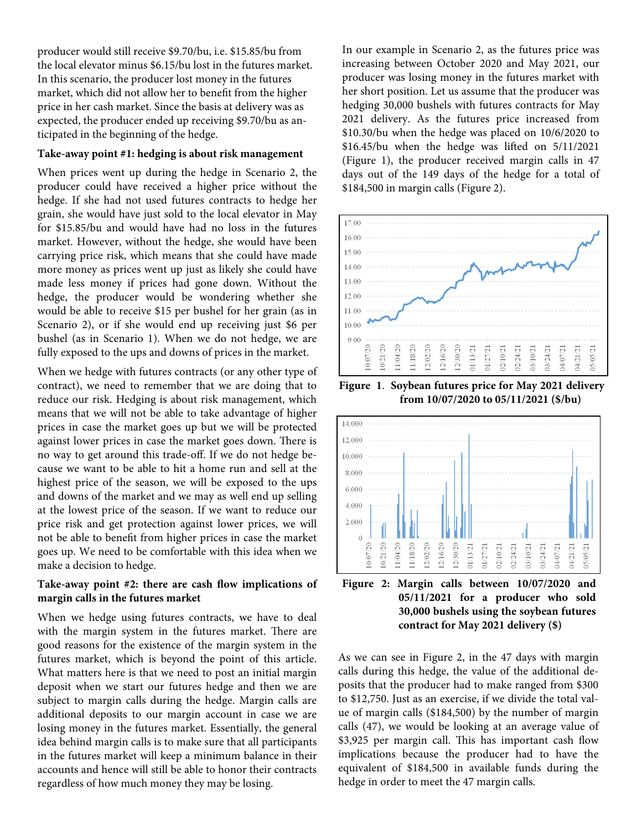producer would still receive \$9.70/bu, i.e. \$15.85/bu from the local elevator minus \$6.15/bu lost in the futures market. In this scenario, the producer lost money in the futures market, which did not allow her to benefit from the higher price in her cash market. Since the basis at delivery was as expected, the producer ended up receiving \$9.70/bu as anticipated in the beginning of the hedge.

#### **Take-away point #1: hedging is about risk management**

When prices went up during the hedge in Scenario 2, the producer could have received a higher price without the hedge. If she had not used futures contracts to hedge her grain, she would have just sold to the local elevator in May for \$15.85/bu and would have had no loss in the futures market. However, without the hedge, she would have been carrying price risk, which means that she could have made more money as prices went up just as likely she could have made less money if prices had gone down. Without the hedge, the producer would be wondering whether she would be able to receive \$15 per bushel for her grain (as in Scenario 2), or if she would end up receiving just \$6 per bushel (as in Scenario 1). When we do not hedge, we are fully exposed to the ups and downs of prices in the market.

When we hedge with futures contracts (or any other type of contract), we need to remember that we are doing that to reduce our risk. Hedging is about risk management, which means that we will not be able to take advantage of higher prices in case the market goes up but we will be protected against lower prices in case the market goes down. There is no way to get around this trade-off. If we do not hedge because we want to be able to hit a home run and sell at the highest price of the season, we will be exposed to the ups and downs of the market and we may as well end up selling at the lowest price of the season. If we want to reduce our price risk and get protection against lower prices, we will not be able to benefit from higher prices in case the market goes up. We need to be comfortable with this idea when we make a decision to hedge.

#### **Take-away point #2: there are cash flow implications of margin calls in the futures market**

When we hedge using futures contracts, we have to deal with the margin system in the futures market. There are good reasons for the existence of the margin system in the futures market, which is beyond the point of this article. What matters here is that we need to post an initial margin deposit when we start our futures hedge and then we are subject to margin calls during the hedge. Margin calls are additional deposits to our margin account in case we are losing money in the futures market. Essentially, the general idea behind margin calls is to make sure that all participants in the futures market will keep a minimum balance in their accounts and hence will still be able to honor their contracts regardless of how much money they may be losing.

In our example in Scenario 2, as the futures price was increasing between October 2020 and May 2021, our producer was losing money in the futures market with her short position. Let us assume that the producer was hedging 30,000 bushels with futures contracts for May 2021 delivery. As the futures price increased from \$10.30/bu when the hedge was placed on 10/6/2020 to \$16.45/bu when the hedge was lifted on 5/11/2021 (Figure 1), the producer received margin calls in 47 days out of the 149 days of the hedge for a total of \$184,500 in margin calls (Figure 2).



**Figure 1**. **Soybean futures price for May 2021 delivery from 10/07/2020 to 05/11/2021 (\$/bu)** 





As we can see in Figure 2, in the 47 days with margin calls during this hedge, the value of the additional deposits that the producer had to make ranged from \$300 to \$12,750. Just as an exercise, if we divide the total value of margin calls (\$184,500) by the number of margin calls (47), we would be looking at an average value of \$3,925 per margin call. This has important cash flow implications because the producer had to have the equivalent of \$184,500 in available funds during the hedge in order to meet the 47 margin calls.